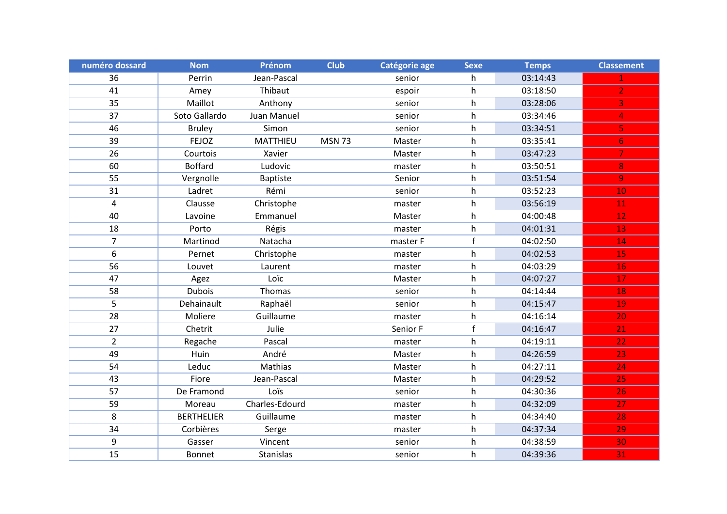| numéro dossard | <b>Nom</b>        | Prénom          | <b>Club</b>   | Catégorie age | <b>Sexe</b> | <b>Temps</b> | <b>Classement</b> |
|----------------|-------------------|-----------------|---------------|---------------|-------------|--------------|-------------------|
| 36             | Perrin            | Jean-Pascal     |               | senior        | h           | 03:14:43     |                   |
| 41             | Amey              | Thibaut         |               | espoir        | h           | 03:18:50     | $\overline{2}$    |
| 35             | Maillot           | Anthony         |               | senior        | h           | 03:28:06     | 3                 |
| 37             | Soto Gallardo     | Juan Manuel     |               | senior        | h           | 03:34:46     | 4                 |
| 46             | <b>Bruley</b>     | Simon           |               | senior        | h           | 03:34:51     | 5                 |
| 39             | <b>FEJOZ</b>      | MATTHIEU        | <b>MSN 73</b> | Master        | h           | 03:35:41     | 6 <sup>1</sup>    |
| 26             | Courtois          | Xavier          |               | Master        | h           | 03:47:23     | 7                 |
| 60             | <b>Boffard</b>    | Ludovic         |               | master        | h           | 03:50:51     | 8                 |
| 55             | Vergnolle         | <b>Baptiste</b> |               | Senior        | h           | 03:51:54     | 9                 |
| 31             | Ladret            | Rémi            |               | senior        | h           | 03:52:23     | 10                |
| 4              | Clausse           | Christophe      |               | master        | h           | 03:56:19     | 11                |
| 40             | Lavoine           | Emmanuel        |               | Master        | h           | 04:00:48     | 12 <sub>1</sub>   |
| 18             | Porto             | Régis           |               | master        | h           | 04:01:31     | 13                |
| $\overline{7}$ | Martinod          | Natacha         |               | master F      | f           | 04:02:50     | 14                |
| 6              | Pernet            | Christophe      |               | master        | h           | 04:02:53     | 15                |
| 56             | Louvet            | Laurent         |               | master        | h           | 04:03:29     | 16                |
| 47             | Agez              | Loïc            |               | Master        | h           | 04:07:27     | 17                |
| 58             | <b>Dubois</b>     | Thomas          |               | senior        | h.          | 04:14:44     | 18                |
| 5              | Dehainault        | Raphaël         |               | senior        | h           | 04:15:47     | 19                |
| 28             | Moliere           | Guillaume       |               | master        | h           | 04:16:14     | 20                |
| 27             | Chetrit           | Julie           |               | Senior F      | f           | 04:16:47     | 21                |
| $\overline{2}$ | Regache           | Pascal          |               | master        | h           | 04:19:11     | 22                |
| 49             | Huin              | André           |               | Master        | h           | 04:26:59     | 23                |
| 54             | Leduc             | Mathias         |               | Master        | h           | 04:27:11     | 24                |
| 43             | Fiore             | Jean-Pascal     |               | Master        | h           | 04:29:52     | 25                |
| 57             | De Framond        | Loïs            |               | senior        | h           | 04:30:36     | 26                |
| 59             | Moreau            | Charles-Edourd  |               | master        | h           | 04:32:09     | 27                |
| 8              | <b>BERTHELIER</b> | Guillaume       |               | master        | h           | 04:34:40     | 28                |
| 34             | Corbières         | Serge           |               | master        | h           | 04:37:34     | 29                |
| 9              | Gasser            | Vincent         |               | senior        | h           | 04:38:59     | 30                |
| 15             | Bonnet            | Stanislas       |               | senior        | h           | 04:39:36     | 31                |